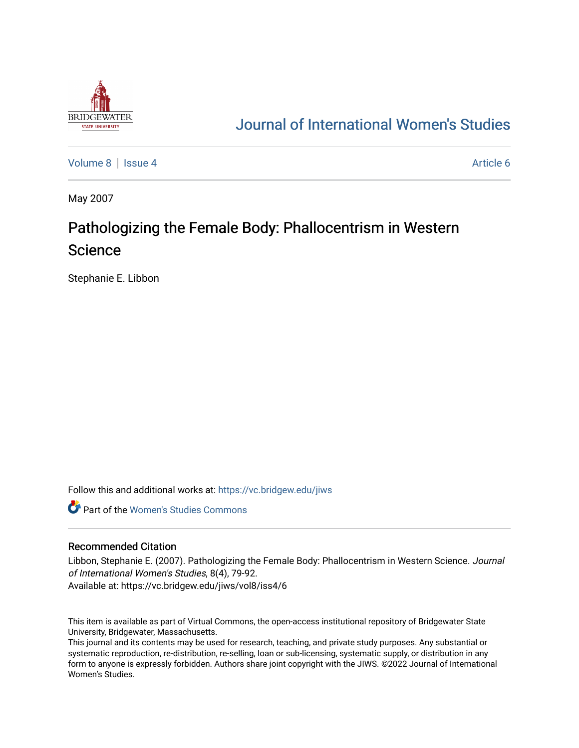

# [Journal of International Women's Studies](https://vc.bridgew.edu/jiws)

[Volume 8](https://vc.bridgew.edu/jiws/vol8) | [Issue 4](https://vc.bridgew.edu/jiws/vol8/iss4) Article 6

May 2007

# Pathologizing the Female Body: Phallocentrism in Western Science

Stephanie E. Libbon

Follow this and additional works at: [https://vc.bridgew.edu/jiws](https://vc.bridgew.edu/jiws?utm_source=vc.bridgew.edu%2Fjiws%2Fvol8%2Fiss4%2F6&utm_medium=PDF&utm_campaign=PDFCoverPages)

**C** Part of the Women's Studies Commons

## Recommended Citation

Libbon, Stephanie E. (2007). Pathologizing the Female Body: Phallocentrism in Western Science. Journal of International Women's Studies, 8(4), 79-92. Available at: https://vc.bridgew.edu/jiws/vol8/iss4/6

This item is available as part of Virtual Commons, the open-access institutional repository of Bridgewater State University, Bridgewater, Massachusetts.

This journal and its contents may be used for research, teaching, and private study purposes. Any substantial or systematic reproduction, re-distribution, re-selling, loan or sub-licensing, systematic supply, or distribution in any form to anyone is expressly forbidden. Authors share joint copyright with the JIWS. ©2022 Journal of International Women's Studies.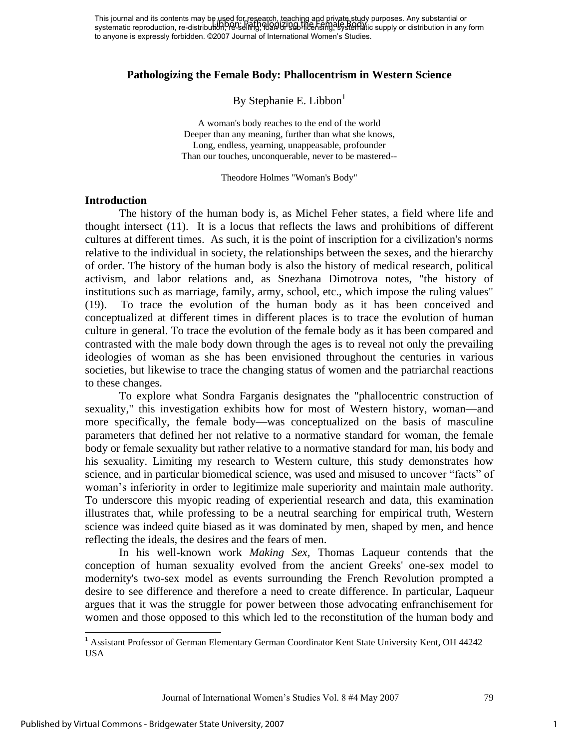This journal and its contents may be used for research, teaching and private study purposes. Any substantial or This journal and its contents may be there for performing the processure proposes. Any substantial or substantial or<br>systematic reproduction, re-distribution, re-selling, 0900 High-litensing, systematic supply or distribut to anyone is expressly forbidden. ©2007 Journal of International Women's Studies.

## **Pathologizing the Female Body: Phallocentrism in Western Science**

By Stephanie E. Libbon $<sup>1</sup>$ </sup>

A woman's body reaches to the end of the world Deeper than any meaning, further than what she knows, Long, endless, yearning, unappeasable, profounder Than our touches, unconquerable, never to be mastered--

Theodore Holmes "Woman's Body"

#### **Introduction**

The history of the human body is, as Michel Feher states, a field where life and thought intersect (11). It is a locus that reflects the laws and prohibitions of different cultures at different times. As such, it is the point of inscription for a civilization's norms relative to the individual in society, the relationships between the sexes, and the hierarchy of order. The history of the human body is also the history of medical research, political activism, and labor relations and, as Snezhana Dimotrova notes, "the history of institutions such as marriage, family, army, school, etc., which impose the ruling values" (19). To trace the evolution of the human body as it has been conceived and conceptualized at different times in different places is to trace the evolution of human culture in general. To trace the evolution of the female body as it has been compared and contrasted with the male body down through the ages is to reveal not only the prevailing ideologies of woman as she has been envisioned throughout the centuries in various societies, but likewise to trace the changing status of women and the patriarchal reactions to these changes.

To explore what Sondra Farganis designates the "phallocentric construction of sexuality," this investigation exhibits how for most of Western history, woman—and more specifically, the female body—was conceptualized on the basis of masculine parameters that defined her not relative to a normative standard for woman, the female body or female sexuality but rather relative to a normative standard for man, his body and his sexuality. Limiting my research to Western culture, this study demonstrates how science, and in particular biomedical science, was used and misused to uncover "facts" of woman"s inferiority in order to legitimize male superiority and maintain male authority. To underscore this myopic reading of experiential research and data, this examination illustrates that, while professing to be a neutral searching for empirical truth, Western science was indeed quite biased as it was dominated by men, shaped by men, and hence reflecting the ideals, the desires and the fears of men.

In his well-known work *Making Sex,* Thomas Laqueur contends that the conception of human sexuality evolved from the ancient Greeks' one-sex model to modernity's two-sex model as events surrounding the French Revolution prompted a desire to see difference and therefore a need to create difference. In particular, Laqueur argues that it was the struggle for power between those advocating enfranchisement for women and those opposed to this which led to the reconstitution of the human body and

Journal of International Women"s Studies Vol. 8 #4 May 2007 79

 $\overline{\phantom{a}}$ 

1

<sup>&</sup>lt;sup>1</sup> Assistant Professor of German Elementary German Coordinator Kent State University Kent, OH 44242 USA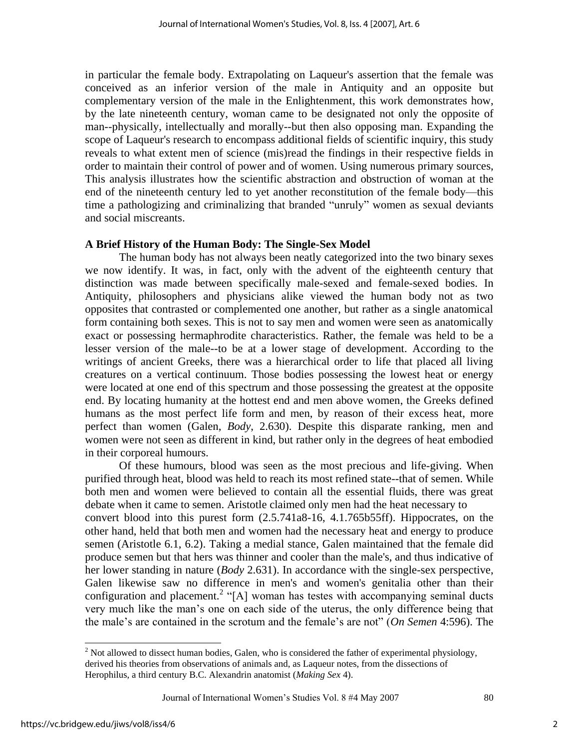in particular the female body. Extrapolating on Laqueur's assertion that the female was conceived as an inferior version of the male in Antiquity and an opposite but complementary version of the male in the Enlightenment, this work demonstrates how, by the late nineteenth century, woman came to be designated not only the opposite of man--physically, intellectually and morally--but then also opposing man. Expanding the scope of Laqueur's research to encompass additional fields of scientific inquiry, this study reveals to what extent men of science (mis)read the findings in their respective fields in order to maintain their control of power and of women. Using numerous primary sources, This analysis illustrates how the scientific abstraction and obstruction of woman at the end of the nineteenth century led to yet another reconstitution of the female body—this time a pathologizing and criminalizing that branded "unruly" women as sexual deviants and social miscreants.

# **A Brief History of the Human Body: The Single-Sex Model**

 The human body has not always been neatly categorized into the two binary sexes we now identify. It was, in fact, only with the advent of the eighteenth century that distinction was made between specifically male-sexed and female-sexed bodies. In Antiquity, philosophers and physicians alike viewed the human body not as two opposites that contrasted or complemented one another, but rather as a single anatomical form containing both sexes. This is not to say men and women were seen as anatomically exact or possessing hermaphrodite characteristics. Rather, the female was held to be a lesser version of the male--to be at a lower stage of development. According to the writings of ancient Greeks, there was a hierarchical order to life that placed all living creatures on a vertical continuum. Those bodies possessing the lowest heat or energy were located at one end of this spectrum and those possessing the greatest at the opposite end. By locating humanity at the hottest end and men above women, the Greeks defined humans as the most perfect life form and men, by reason of their excess heat, more perfect than women (Galen, *Body*, 2.630). Despite this disparate ranking, men and women were not seen as different in kind, but rather only in the degrees of heat embodied in their corporeal humours.

Of these humours, blood was seen as the most precious and life-giving. When purified through heat, blood was held to reach its most refined state--that of semen. While both men and women were believed to contain all the essential fluids, there was great debate when it came to semen. Aristotle claimed only men had the heat necessary to convert blood into this purest form (2.5.741a8-16, 4.1.765b55ff). Hippocrates, on the other hand, held that both men and women had the necessary heat and energy to produce semen (Aristotle 6.1, 6.2). Taking a medial stance, Galen maintained that the female did produce semen but that hers was thinner and cooler than the male's, and thus indicative of her lower standing in nature (*Body* 2.631). In accordance with the single-sex perspective, Galen likewise saw no difference in men's and women's genitalia other than their configuration and placement.<sup>2</sup> "[A] woman has testes with accompanying seminal ducts very much like the man"s one on each side of the uterus, the only difference being that the male"s are contained in the scrotum and the female"s are not" (*On Semen* 4:596). The

<sup>&</sup>lt;sup>2</sup> Not allowed to dissect human bodies, Galen, who is considered the father of experimental physiology, derived his theories from observations of animals and, as Laqueur notes, from the dissections of Herophilus, a third century B.C. Alexandrin anatomist (*Making Sex* 4).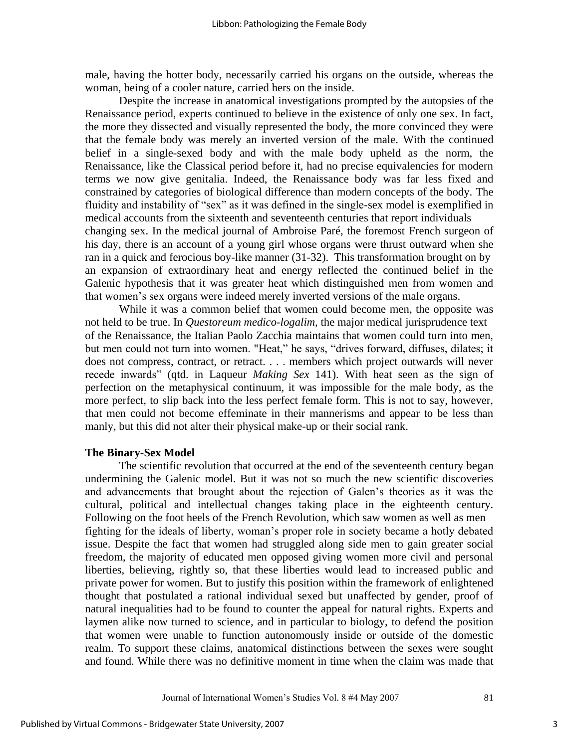male, having the hotter body, necessarily carried his organs on the outside, whereas the woman, being of a cooler nature, carried hers on the inside.

Despite the increase in anatomical investigations prompted by the autopsies of the Renaissance period, experts continued to believe in the existence of only one sex. In fact, the more they dissected and visually represented the body, the more convinced they were that the female body was merely an inverted version of the male. With the continued belief in a single-sexed body and with the male body upheld as the norm, the Renaissance, like the Classical period before it, had no precise equivalencies for modern terms we now give genitalia. Indeed, the Renaissance body was far less fixed and constrained by categories of biological difference than modern concepts of the body. The fluidity and instability of "sex" as it was defined in the single-sex model is exemplified in medical accounts from the sixteenth and seventeenth centuries that report individuals changing sex. In the medical journal of Ambroise Paré, the foremost French surgeon of his day, there is an account of a young girl whose organs were thrust outward when she ran in a quick and ferocious boy-like manner (31-32). This transformation brought on by an expansion of extraordinary heat and energy reflected the continued belief in the Galenic hypothesis that it was greater heat which distinguished men from women and that women"s sex organs were indeed merely inverted versions of the male organs.

While it was a common belief that women could become men, the opposite was not held to be true. In *Questoreum medico-logalim*, the major medical jurisprudence text of the Renaissance, the Italian Paolo Zacchia maintains that women could turn into men, but men could not turn into women. "Heat," he says, "drives forward, diffuses, dilates; it does not compress, contract, or retract. . . . members which project outwards will never recede inwards" (qtd. in Laqueur *Making Sex* 141). With heat seen as the sign of perfection on the metaphysical continuum, it was impossible for the male body, as the more perfect, to slip back into the less perfect female form. This is not to say, however, that men could not become effeminate in their mannerisms and appear to be less than manly, but this did not alter their physical make-up or their social rank.

### **The Binary-Sex Model**

The scientific revolution that occurred at the end of the seventeenth century began undermining the Galenic model. But it was not so much the new scientific discoveries and advancements that brought about the rejection of Galen"s theories as it was the cultural, political and intellectual changes taking place in the eighteenth century. Following on the foot heels of the French Revolution, which saw women as well as men fighting for the ideals of liberty, woman"s proper role in society became a hotly debated issue. Despite the fact that women had struggled along side men to gain greater social freedom, the majority of educated men opposed giving women more civil and personal liberties, believing, rightly so, that these liberties would lead to increased public and private power for women. But to justify this position within the framework of enlightened thought that postulated a rational individual sexed but unaffected by gender, proof of natural inequalities had to be found to counter the appeal for natural rights. Experts and laymen alike now turned to science, and in particular to biology, to defend the position that women were unable to function autonomously inside or outside of the domestic realm. To support these claims, anatomical distinctions between the sexes were sought and found. While there was no definitive moment in time when the claim was made that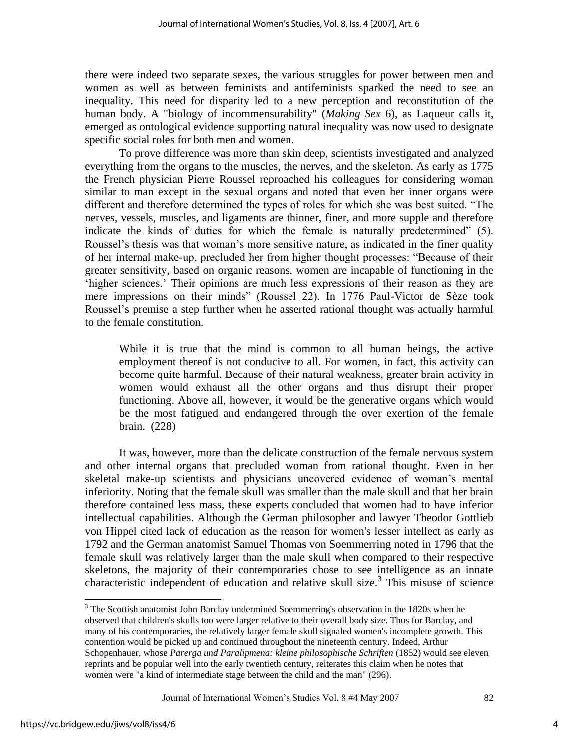there were indeed two separate sexes, the various struggles for power between men and women as well as between feminists and antifeminists sparked the need to see an inequality. This need for disparity led to a new perception and reconstitution of the human body. A "biology of incommensurability" (*Making Sex* 6), as Laqueur calls it, emerged as ontological evidence supporting natural inequality was now used to designate specific social roles for both men and women.

To prove difference was more than skin deep, scientists investigated and analyzed everything from the organs to the muscles, the nerves, and the skeleton. As early as 1775 the French physician Pierre Roussel reproached his colleagues for considering woman similar to man except in the sexual organs and noted that even her inner organs were different and therefore determined the types of roles for which she was best suited. "The nerves, vessels, muscles, and ligaments are thinner, finer, and more supple and therefore indicate the kinds of duties for which the female is naturally predetermined" (5). Roussel's thesis was that woman's more sensitive nature, as indicated in the finer quality of her internal make-up, precluded her from higher thought processes: "Because of their greater sensitivity, based on organic reasons, women are incapable of functioning in the "higher sciences." Their opinions are much less expressions of their reason as they are mere impressions on their minds" (Roussel 22). In 1776 Paul-Victor de Sèze took Roussel"s premise a step further when he asserted rational thought was actually harmful to the female constitution.

While it is true that the mind is common to all human beings, the active employment thereof is not conducive to all. For women, in fact, this activity can become quite harmful. Because of their natural weakness, greater brain activity in women would exhaust all the other organs and thus disrupt their proper functioning. Above all, however, it would be the generative organs which would be the most fatigued and endangered through the over exertion of the female brain. (228)

It was, however, more than the delicate construction of the female nervous system and other internal organs that precluded woman from rational thought. Even in her skeletal make-up scientists and physicians uncovered evidence of woman"s mental inferiority. Noting that the female skull was smaller than the male skull and that her brain therefore contained less mass, these experts concluded that women had to have inferior intellectual capabilities. Although the German philosopher and lawyer Theodor Gottlieb von Hippel cited lack of education as the reason for women's lesser intellect as early as 1792 and the German anatomist Samuel Thomas von Soemmerring noted in 1796 that the female skull was relatively larger than the male skull when compared to their respective skeletons, the majority of their contemporaries chose to see intelligence as an innate characteristic independent of education and relative skull size.<sup>3</sup> This misuse of science

<sup>&</sup>lt;sup>3</sup> The Scottish anatomist John Barclay undermined Soemmerring's observation in the 1820s when he observed that children's skulls too were larger relative to their overall body size. Thus for Barclay, and many of his contemporaries, the relatively larger female skull signaled women's incomplete growth. This contention would be picked up and continued throughout the nineteenth century. Indeed, Arthur Schopenhauer, whose *Parerga und Paralipmena: kleine philosophische Schriften* (1852) would see eleven reprints and be popular well into the early twentieth century, reiterates this claim when he notes that women were "a kind of intermediate stage between the child and the man" (296).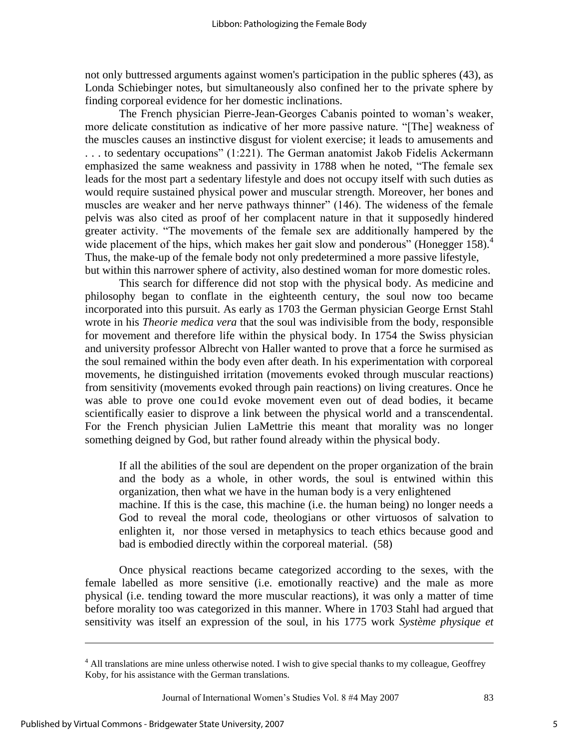not only buttressed arguments against women's participation in the public spheres (43), as Londa Schiebinger notes, but simultaneously also confined her to the private sphere by finding corporeal evidence for her domestic inclinations.

The French physician Pierre-Jean-Georges Cabanis pointed to woman"s weaker, more delicate constitution as indicative of her more passive nature. "[The] weakness of the muscles causes an instinctive disgust for violent exercise; it leads to amusements and . . . to sedentary occupations" (1:221). The German anatomist Jakob Fidelis Ackermann emphasized the same weakness and passivity in 1788 when he noted, "The female sex leads for the most part a sedentary lifestyle and does not occupy itself with such duties as would require sustained physical power and muscular strength. Moreover, her bones and muscles are weaker and her nerve pathways thinner" (146). The wideness of the female pelvis was also cited as proof of her complacent nature in that it supposedly hindered greater activity. "The movements of the female sex are additionally hampered by the wide placement of the hips, which makes her gait slow and ponderous" (Honegger  $158$ ).<sup>4</sup> Thus, the make-up of the female body not only predetermined a more passive lifestyle, but within this narrower sphere of activity, also destined woman for more domestic roles.

This search for difference did not stop with the physical body. As medicine and philosophy began to conflate in the eighteenth century, the soul now too became incorporated into this pursuit. As early as 1703 the German physician George Ernst Stahl wrote in his *Theorie medica vera* that the soul was indivisible from the body, responsible for movement and therefore life within the physical body. In 1754 the Swiss physician and university professor Albrecht von Haller wanted to prove that a force he surmised as the soul remained within the body even after death. In his experimentation with corporeal movements, he distinguished irritation (movements evoked through muscular reactions) from sensitivity (movements evoked through pain reactions) on living creatures. Once he was able to prove one cou1d evoke movement even out of dead bodies, it became scientifically easier to disprove a link between the physical world and a transcendental. For the French physician Julien LaMettrie this meant that morality was no longer something deigned by God, but rather found already within the physical body.

If all the abilities of the soul are dependent on the proper organization of the brain and the body as a whole, in other words, the soul is entwined within this organization, then what we have in the human body is a very enlightened machine. If this is the case, this machine (i.e. the human being) no longer needs a God to reveal the moral code, theologians or other virtuosos of salvation to enlighten it, nor those versed in metaphysics to teach ethics because good and bad is embodied directly within the corporeal material. (58)

Once physical reactions became categorized according to the sexes, with the female labelled as more sensitive (i.e. emotionally reactive) and the male as more physical (i.e. tending toward the more muscular reactions), it was only a matter of time before morality too was categorized in this manner. Where in 1703 Stahl had argued that sensitivity was itself an expression of the soul, in his 1775 work *Système physique et* 

Journal of International Women"s Studies Vol. 8 #4 May 2007 83

<sup>&</sup>lt;sup>4</sup> All translations are mine unless otherwise noted. I wish to give special thanks to my colleague, Geoffrey Koby, for his assistance with the German translations.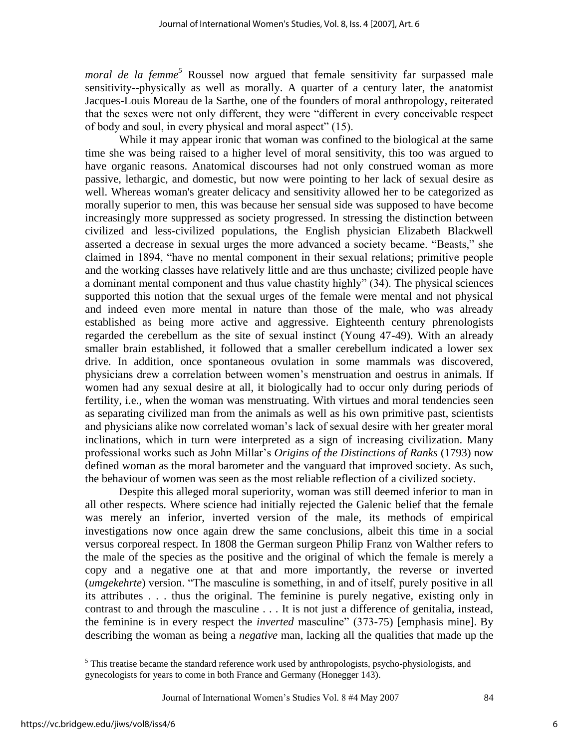*moral de la femme*<sup>5</sup> Roussel now argued that female sensitivity far surpassed male sensitivity--physically as well as morally. A quarter of a century later, the anatomist Jacques-Louis Moreau de la Sarthe, one of the founders of moral anthropology, reiterated that the sexes were not only different, they were "different in every conceivable respect of body and soul, in every physical and moral aspect" (15).

While it may appear ironic that woman was confined to the biological at the same time she was being raised to a higher level of moral sensitivity, this too was argued to have organic reasons. Anatomical discourses had not only construed woman as more passive, lethargic, and domestic, but now were pointing to her lack of sexual desire as well. Whereas woman's greater delicacy and sensitivity allowed her to be categorized as morally superior to men, this was because her sensual side was supposed to have become increasingly more suppressed as society progressed. In stressing the distinction between civilized and less-civilized populations, the English physician Elizabeth Blackwell asserted a decrease in sexual urges the more advanced a society became. "Beasts," she claimed in 1894, "have no mental component in their sexual relations; primitive people and the working classes have relatively little and are thus unchaste; civilized people have a dominant mental component and thus value chastity highly" (34). The physical sciences supported this notion that the sexual urges of the female were mental and not physical and indeed even more mental in nature than those of the male, who was already established as being more active and aggressive. Eighteenth century phrenologists regarded the cerebellum as the site of sexual instinct (Young 47-49). With an already smaller brain established, it followed that a smaller cerebellum indicated a lower sex drive. In addition, once spontaneous ovulation in some mammals was discovered, physicians drew a correlation between women"s menstruation and oestrus in animals. If women had any sexual desire at all, it biologically had to occur only during periods of fertility, i.e., when the woman was menstruating. With virtues and moral tendencies seen as separating civilized man from the animals as well as his own primitive past, scientists and physicians alike now correlated woman"s lack of sexual desire with her greater moral inclinations, which in turn were interpreted as a sign of increasing civilization. Many professional works such as John Millar"s *Origins of the Distinctions of Ranks* (1793) now defined woman as the moral barometer and the vanguard that improved society. As such, the behaviour of women was seen as the most reliable reflection of a civilized society.

Despite this alleged moral superiority, woman was still deemed inferior to man in all other respects. Where science had initially rejected the Galenic belief that the female was merely an inferior, inverted version of the male, its methods of empirical investigations now once again drew the same conclusions, albeit this time in a social versus corporeal respect. In 1808 the German surgeon Philip Franz von Walther refers to the male of the species as the positive and the original of which the female is merely a copy and a negative one at that and more importantly, the reverse or inverted (*umgekehrte*) version. "The masculine is something, in and of itself, purely positive in all its attributes . . . thus the original. The feminine is purely negative, existing only in contrast to and through the masculine . . . It is not just a difference of genitalia, instead, the feminine is in every respect the *inverted* masculine" (373-75) [emphasis mine]. By describing the woman as being a *negative* man, lacking all the qualities that made up the

Journal of International Women"s Studies Vol. 8 #4 May 2007 84

 $\overline{a}$ 

<sup>&</sup>lt;sup>5</sup> This treatise became the standard reference work used by anthropologists, psycho-physiologists, and gynecologists for years to come in both France and Germany (Honegger 143).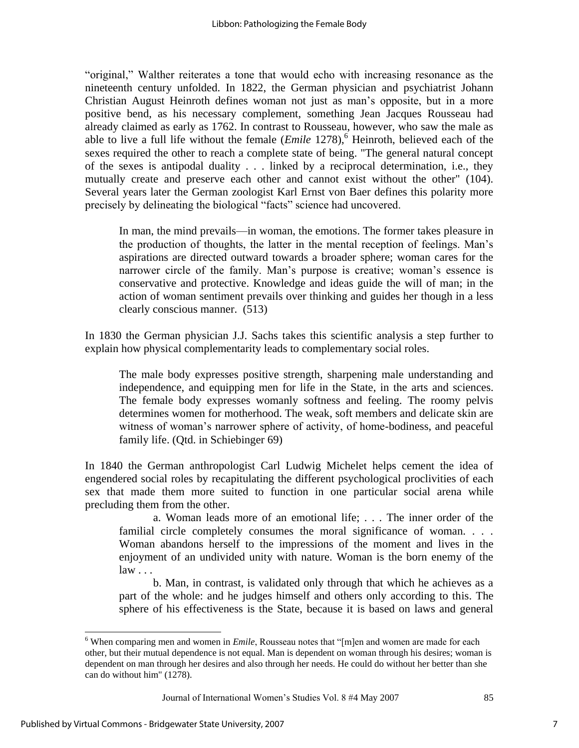"original," Walther reiterates a tone that would echo with increasing resonance as the nineteenth century unfolded. In 1822, the German physician and psychiatrist Johann Christian August Heinroth defines woman not just as man"s opposite, but in a more positive bend, as his necessary complement, something Jean Jacques Rousseau had already claimed as early as 1762. In contrast to Rousseau, however, who saw the male as able to live a full life without the female (*Emile* 1278),<sup>6</sup> Heinroth, believed each of the sexes required the other to reach a complete state of being. "The general natural concept of the sexes is antipodal duality . . . linked by a reciprocal determination, i.e., they mutually create and preserve each other and cannot exist without the other" (104). Several years later the German zoologist Karl Ernst von Baer defines this polarity more precisely by delineating the biological "facts" science had uncovered.

In man, the mind prevails—in woman, the emotions. The former takes pleasure in the production of thoughts, the latter in the mental reception of feelings. Man"s aspirations are directed outward towards a broader sphere; woman cares for the narrower circle of the family. Man's purpose is creative; woman's essence is conservative and protective. Knowledge and ideas guide the will of man; in the action of woman sentiment prevails over thinking and guides her though in a less clearly conscious manner. (513)

In 1830 the German physician J.J. Sachs takes this scientific analysis a step further to explain how physical complementarity leads to complementary social roles.

The male body expresses positive strength, sharpening male understanding and independence, and equipping men for life in the State, in the arts and sciences. The female body expresses womanly softness and feeling. The roomy pelvis determines women for motherhood. The weak, soft members and delicate skin are witness of woman"s narrower sphere of activity, of home-bodiness, and peaceful family life. (Qtd. in Schiebinger 69)

In 1840 the German anthropologist Carl Ludwig Michelet helps cement the idea of engendered social roles by recapitulating the different psychological proclivities of each sex that made them more suited to function in one particular social arena while precluding them from the other.

a. Woman leads more of an emotional life; . . . The inner order of the familial circle completely consumes the moral significance of woman. . . . Woman abandons herself to the impressions of the moment and lives in the enjoyment of an undivided unity with nature. Woman is the born enemy of the  $law \dots$ 

b. Man, in contrast, is validated only through that which he achieves as a part of the whole: and he judges himself and others only according to this. The sphere of his effectiveness is the State, because it is based on laws and general

<sup>&</sup>lt;sup>6</sup> When comparing men and women in *Emile*, Rousseau notes that "[m]en and women are made for each other, but their mutual dependence is not equal. Man is dependent on woman through his desires; woman is dependent on man through her desires and also through her needs. He could do without her better than she can do without him" (1278).

Journal of International Women"s Studies Vol. 8 #4 May 2007 85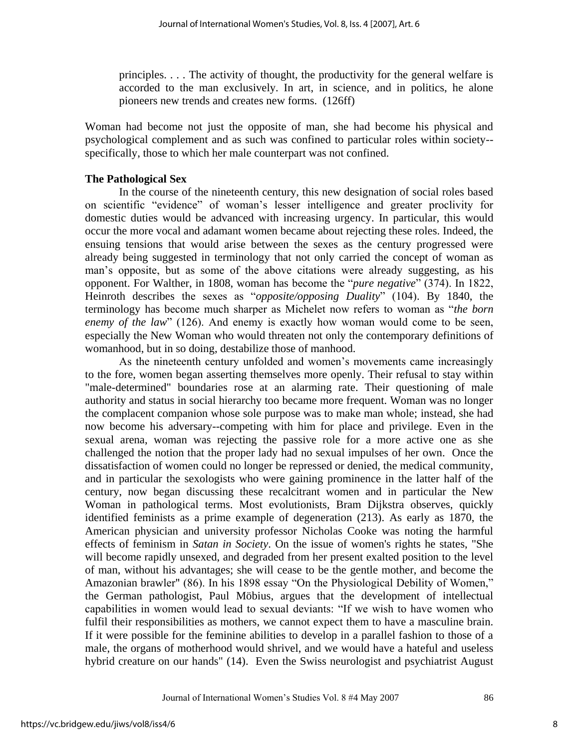principles. . . . The activity of thought, the productivity for the general welfare is accorded to the man exclusively. In art, in science, and in politics, he alone pioneers new trends and creates new forms. (126ff)

Woman had become not just the opposite of man, she had become his physical and psychological complement and as such was confined to particular roles within society- specifically, those to which her male counterpart was not confined.

## **The Pathological Sex**

In the course of the nineteenth century, this new designation of social roles based on scientific "evidence" of woman"s lesser intelligence and greater proclivity for domestic duties would be advanced with increasing urgency. In particular, this would occur the more vocal and adamant women became about rejecting these roles. Indeed, the ensuing tensions that would arise between the sexes as the century progressed were already being suggested in terminology that not only carried the concept of woman as man"s opposite, but as some of the above citations were already suggesting, as his opponent. For Walther, in 1808, woman has become the "*pure negative*" (374). In 1822, Heinroth describes the sexes as "*opposite/opposing Duality*" (104). By 1840, the terminology has become much sharper as Michelet now refers to woman as "*the born enemy of the law*" (126). And enemy is exactly how woman would come to be seen, especially the New Woman who would threaten not only the contemporary definitions of womanhood, but in so doing, destabilize those of manhood.

As the nineteenth century unfolded and women"s movements came increasingly to the fore, women began asserting themselves more openly. Their refusal to stay within "male-determined" boundaries rose at an alarming rate. Their questioning of male authority and status in social hierarchy too became more frequent. Woman was no longer the complacent companion whose sole purpose was to make man whole; instead, she had now become his adversary--competing with him for place and privilege. Even in the sexual arena, woman was rejecting the passive role for a more active one as she challenged the notion that the proper lady had no sexual impulses of her own. Once the dissatisfaction of women could no longer be repressed or denied, the medical community, and in particular the sexologists who were gaining prominence in the latter half of the century, now began discussing these recalcitrant women and in particular the New Woman in pathological terms. Most evolutionists, Bram Dijkstra observes, quickly identified feminists as a prime example of degeneration (213). As early as 1870, the American physician and university professor Nicholas Cooke was noting the harmful effects of feminism in *Satan in Society*. On the issue of women's rights he states, "She will become rapidly unsexed, and degraded from her present exalted position to the level of man, without his advantages; she will cease to be the gentle mother, and become the Amazonian brawler" (86). In his 1898 essay "On the Physiological Debility of Women," the German pathologist, Paul Möbius, argues that the development of intellectual capabilities in women would lead to sexual deviants: "If we wish to have women who fulfil their responsibilities as mothers, we cannot expect them to have a masculine brain. If it were possible for the feminine abilities to develop in a parallel fashion to those of a male, the organs of motherhood would shrivel, and we would have a hateful and useless hybrid creature on our hands" (14). Even the Swiss neurologist and psychiatrist August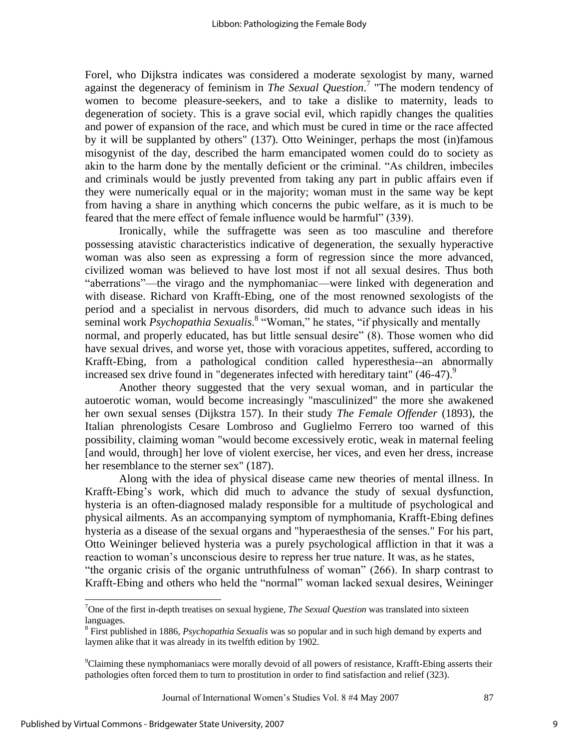Forel, who Dijkstra indicates was considered a moderate sexologist by many, warned against the degeneracy of feminism in *The Sexual Question*. 7 "The modern tendency of women to become pleasure-seekers, and to take a dislike to maternity, leads to degeneration of society. This is a grave social evil, which rapidly changes the qualities and power of expansion of the race, and which must be cured in time or the race affected by it will be supplanted by others" (137). Otto Weininger, perhaps the most (in)famous misogynist of the day, described the harm emancipated women could do to society as akin to the harm done by the mentally deficient or the criminal. "As children, imbeciles and criminals would be justly prevented from taking any part in public affairs even if they were numerically equal or in the majority; woman must in the same way be kept from having a share in anything which concerns the pubic welfare, as it is much to be feared that the mere effect of female influence would be harmful" (339).

Ironically, while the suffragette was seen as too masculine and therefore possessing atavistic characteristics indicative of degeneration, the sexually hyperactive woman was also seen as expressing a form of regression since the more advanced, civilized woman was believed to have lost most if not all sexual desires. Thus both "aberrations"—the virago and the nymphomaniac—were linked with degeneration and with disease. Richard von Krafft-Ebing, one of the most renowned sexologists of the period and a specialist in nervous disorders, did much to advance such ideas in his seminal work *Psychopathia Sexualis*.<sup>8</sup> "Woman," he states, "if physically and mentally normal, and properly educated, has but little sensual desire" (8). Those women who did have sexual drives, and worse yet, those with voracious appetites, suffered, according to Krafft-Ebing, from a pathological condition called hyperesthesia--an abnormally increased sex drive found in "degenerates infected with hereditary taint"  $(46-47)$ .

Another theory suggested that the very sexual woman, and in particular the autoerotic woman, would become increasingly "masculinized" the more she awakened her own sexual senses (Dijkstra 157). In their study *The Female Offender* (1893), the Italian phrenologists Cesare Lombroso and Guglielmo Ferrero too warned of this possibility, claiming woman "would become excessively erotic, weak in maternal feeling [and would, through] her love of violent exercise, her vices, and even her dress, increase her resemblance to the sterner sex" (187).

Along with the idea of physical disease came new theories of mental illness. In Krafft-Ebing's work, which did much to advance the study of sexual dysfunction, hysteria is an often-diagnosed malady responsible for a multitude of psychological and physical ailments. As an accompanying symptom of nymphomania, Krafft-Ebing defines hysteria as a disease of the sexual organs and "hyperaesthesia of the senses." For his part, Otto Weininger believed hysteria was a purely psychological affliction in that it was a reaction to woman"s unconscious desire to repress her true nature. It was, as he states, "the organic crisis of the organic untruthfulness of woman" (266). In sharp contrast to Krafft-Ebing and others who held the "normal" woman lacked sexual desires, Weininger

Journal of International Women"s Studies Vol. 8 #4 May 2007 87

<sup>7</sup>One of the first in-depth treatises on sexual hygiene, *The Sexual Question* was translated into sixteen languages.

<sup>8</sup> First published in 1886, *Psychopathia Sexualis* was so popular and in such high demand by experts and laymen alike that it was already in its twelfth edition by 1902.

<sup>9</sup>Claiming these nymphomaniacs were morally devoid of all powers of resistance, Krafft-Ebing asserts their pathologies often forced them to turn to prostitution in order to find satisfaction and relief (323).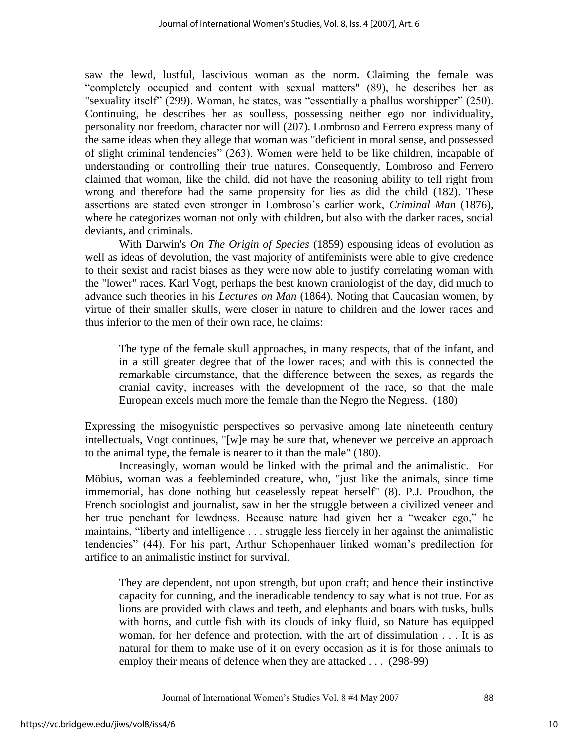saw the lewd, lustful, lascivious woman as the norm. Claiming the female was "completely occupied and content with sexual matters" (89), he describes her as "sexuality itself" (299). Woman, he states, was "essentially a phallus worshipper" (250). Continuing, he describes her as soulless, possessing neither ego nor individuality, personality nor freedom, character nor will (207). Lombroso and Ferrero express many of the same ideas when they allege that woman was "deficient in moral sense, and possessed of slight criminal tendencies" (263). Women were held to be like children, incapable of understanding or controlling their true natures. Consequently, Lombroso and Ferrero claimed that woman, like the child, did not have the reasoning ability to tell right from wrong and therefore had the same propensity for lies as did the child (182). These assertions are stated even stronger in Lombroso"s earlier work, *Criminal Man* (1876), where he categorizes woman not only with children, but also with the darker races, social deviants, and criminals.

 With Darwin's *On The Origin of Species* (1859) espousing ideas of evolution as well as ideas of devolution, the vast majority of antifeminists were able to give credence to their sexist and racist biases as they were now able to justify correlating woman with the "lower" races. Karl Vogt, perhaps the best known craniologist of the day, did much to advance such theories in his *Lectures on Man* (1864). Noting that Caucasian women, by virtue of their smaller skulls, were closer in nature to children and the lower races and thus inferior to the men of their own race, he claims:

The type of the female skull approaches, in many respects, that of the infant, and in a still greater degree that of the lower races; and with this is connected the remarkable circumstance, that the difference between the sexes, as regards the cranial cavity, increases with the development of the race, so that the male European excels much more the female than the Negro the Negress. (180)

Expressing the misogynistic perspectives so pervasive among late nineteenth century intellectuals, Vogt continues, "[w]e may be sure that, whenever we perceive an approach to the animal type, the female is nearer to it than the male" (180).

Increasingly, woman would be linked with the primal and the animalistic. For Möbius, woman was a feebleminded creature, who, "just like the animals, since time immemorial, has done nothing but ceaselessly repeat herself" (8). P.J. Proudhon, the French sociologist and journalist, saw in her the struggle between a civilized veneer and her true penchant for lewdness. Because nature had given her a "weaker ego," he maintains, "liberty and intelligence . . . struggle less fiercely in her against the animalistic tendencies" (44). For his part, Arthur Schopenhauer linked woman"s predilection for artifice to an animalistic instinct for survival.

They are dependent, not upon strength, but upon craft; and hence their instinctive capacity for cunning, and the ineradicable tendency to say what is not true. For as lions are provided with claws and teeth, and elephants and boars with tusks, bulls with horns, and cuttle fish with its clouds of inky fluid, so Nature has equipped woman, for her defence and protection, with the art of dissimulation . . . It is as natural for them to make use of it on every occasion as it is for those animals to employ their means of defence when they are attacked . . . (298-99)

Journal of International Women"s Studies Vol. 8 #4 May 2007 88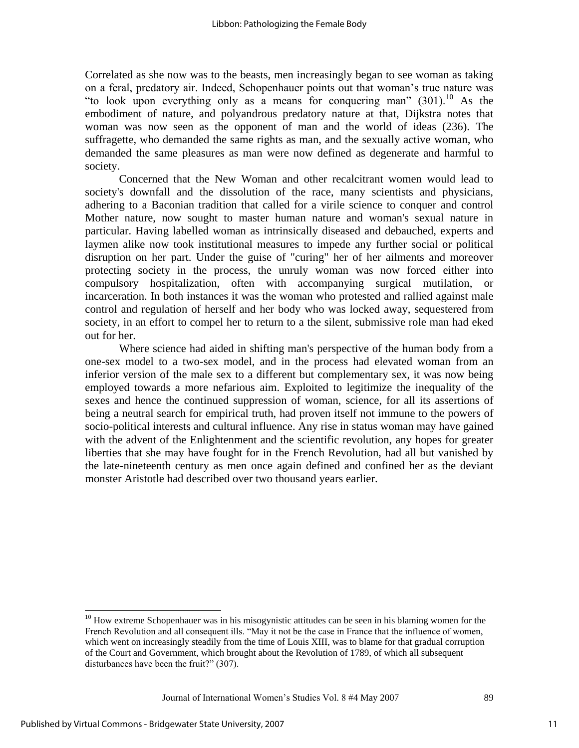Correlated as she now was to the beasts, men increasingly began to see woman as taking on a feral, predatory air. Indeed, Schopenhauer points out that woman"s true nature was "to look upon everything only as a means for conquering man"  $(301)$ .<sup>10</sup> As the embodiment of nature, and polyandrous predatory nature at that, Dijkstra notes that woman was now seen as the opponent of man and the world of ideas (236). The suffragette, who demanded the same rights as man, and the sexually active woman, who demanded the same pleasures as man were now defined as degenerate and harmful to society.

Concerned that the New Woman and other recalcitrant women would lead to society's downfall and the dissolution of the race, many scientists and physicians, adhering to a Baconian tradition that called for a virile science to conquer and control Mother nature, now sought to master human nature and woman's sexual nature in particular. Having labelled woman as intrinsically diseased and debauched, experts and laymen alike now took institutional measures to impede any further social or political disruption on her part. Under the guise of "curing" her of her ailments and moreover protecting society in the process, the unruly woman was now forced either into compulsory hospitalization, often with accompanying surgical mutilation, or incarceration. In both instances it was the woman who protested and rallied against male control and regulation of herself and her body who was locked away, sequestered from society, in an effort to compel her to return to a the silent, submissive role man had eked out for her.

Where science had aided in shifting man's perspective of the human body from a one-sex model to a two-sex model, and in the process had elevated woman from an inferior version of the male sex to a different but complementary sex, it was now being employed towards a more nefarious aim. Exploited to legitimize the inequality of the sexes and hence the continued suppression of woman, science, for all its assertions of being a neutral search for empirical truth, had proven itself not immune to the powers of socio-political interests and cultural influence. Any rise in status woman may have gained with the advent of the Enlightenment and the scientific revolution, any hopes for greater liberties that she may have fought for in the French Revolution, had all but vanished by the late-nineteenth century as men once again defined and confined her as the deviant monster Aristotle had described over two thousand years earlier.

Journal of International Women"s Studies Vol. 8 #4 May 2007 89

 $10$  How extreme Schopenhauer was in his misogynistic attitudes can be seen in his blaming women for the French Revolution and all consequent ills. "May it not be the case in France that the influence of women, which went on increasingly steadily from the time of Louis XIII, was to blame for that gradual corruption of the Court and Government, which brought about the Revolution of 1789, of which all subsequent disturbances have been the fruit?" (307).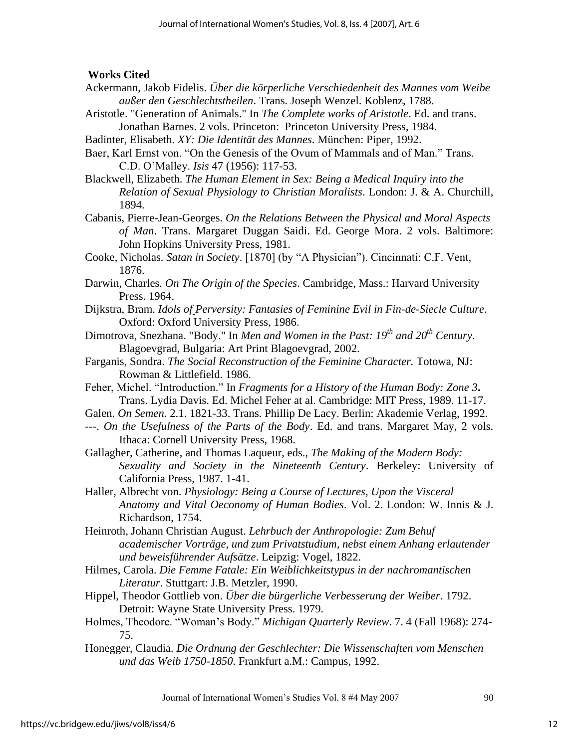## **Works Cited**

- Ackermann, Jakob Fidelis. *Über die körperliche Verschiedenheit des Mannes vom Weibe außer den Geschlechtstheilen*. Trans. Joseph Wenzel. Koblenz, 1788.
- Aristotle. "Generation of Animals." In *The Complete works of Aristotle*. Ed. and trans. Jonathan Barnes. 2 vols. Princeton: Princeton University Press, 1984.
- Badinter, Elisabeth. *XY: Die Identität des Mannes*. München: Piper, 1992.
- Baer, Karl Ernst von. "On the Genesis of the Ovum of Mammals and of Man." Trans. C.D. O"Malley. *Isis* 47 (1956): 117-53.
- Blackwell, Elizabeth. *The Human Element in Sex: Being a Medical Inquiry into the Relation of Sexual Physiology to Christian Moralists*. London: J. & A. Churchill, 1894.
- Cabanis, Pierre-Jean-Georges. *On the Relations Between the Physical and Moral Aspects of Man*. Trans. Margaret Duggan Saidi. Ed. George Mora. 2 vols. Baltimore: John Hopkins University Press, 1981.
- Cooke, Nicholas. *Satan in Society*. [1870] (by "A Physician"). Cincinnati: C.F. Vent, 1876.
- Darwin, Charles. *On The Origin of the Species*. Cambridge, Mass.: Harvard University Press. 1964.
- Dijkstra, Bram. *Idols of Perversity: Fantasies of Feminine Evil in Fin-de-Siecle Culture*. Oxford: Oxford University Press, 1986.
- Dimotrova, Snezhana. "Body." In *Men and Women in the Past: 19th and 20th Century*. Blagoevgrad, Bulgaria: Art Print Blagoevgrad, 2002.
- Farganis, Sondra. *The Social Reconstruction of the Feminine Character.* Totowa, NJ: Rowman & Littlefield. 1986.
- Feher, Michel. "Introduction." In *Fragments for a History of the Human Body: Zone 3***.**  Trans. Lydia Davis. Ed. Michel Feher at al. Cambridge: MIT Press, 1989. 11-17.
- Galen. *On Semen*. 2.1. 1821-33. Trans. Phillip De Lacy. Berlin: Akademie Verlag, 1992.
- ---. *On the Usefulness of the Parts of the Body*. Ed. and trans. Margaret May, 2 vols. Ithaca: Cornell University Press, 1968.
- Gallagher, Catherine, and Thomas Laqueur, eds., *The Making of the Modern Body: Sexuality and Society in the Nineteenth Century*. Berkeley: University of California Press, 1987. 1-41.
- Haller, Albrecht von. *Physiology: Being a Course of Lectures, Upon the Visceral Anatomy and Vital Oeconomy of Human Bodies*. Vol. 2. London: W. Innis & J. Richardson, 1754.
- Heinroth, Johann Christian August. *Lehrbuch der Anthropologie: Zum Behuf academischer Vorträge, und zum Privatstudium, nebst einem Anhang erlautender und beweisführender Aufsätze*. Leipzig: Vogel, 1822.
- Hilmes, Carola. *Die Femme Fatale: Ein Weiblichkeitstypus in der nachromantischen Literatur*. Stuttgart: J.B. Metzler, 1990.
- Hippel, Theodor Gottlieb von. *Über die bürgerliche Verbesserung der Weiber*. 1792. Detroit: Wayne State University Press. 1979.
- Holmes, Theodore. "Woman"s Body." *Michigan Quarterly Review*. 7. 4 (Fall 1968): 274- 75.
- Honegger, Claudia. *Die Ordnung der Geschlechter: Die Wissenschaften vom Menschen und das Weib 1750-1850*. Frankfurt a.M.: Campus, 1992.

Journal of International Women"s Studies Vol. 8 #4 May 2007 90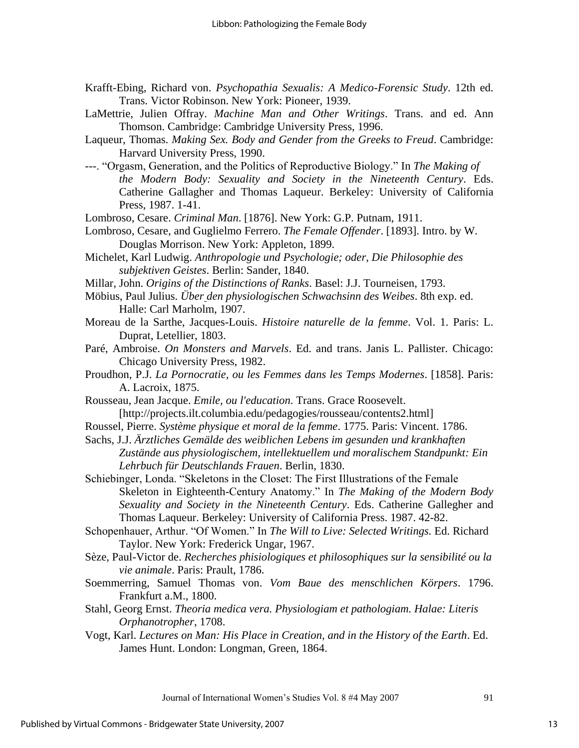- Krafft-Ebing, Richard von. *Psychopathia Sexualis: A Medico-Forensic Study*. 12th ed. Trans. Victor Robinson. New York: Pioneer, 1939.
- LaMettrie, Julien Offray. *Machine Man and Other Writings*. Trans. and ed. Ann Thomson. Cambridge: Cambridge University Press, 1996.
- Laqueur, Thomas. *Making Sex. Body and Gender from the Greeks to Freud*. Cambridge: Harvard University Press, 1990.
- ---. "Orgasm, Generation, and the Politics of Reproductive Biology." In *The Making of the Modern Body: Sexuality and Society in the Nineteenth Century*. Eds. Catherine Gallagher and Thomas Laqueur. Berkeley: University of California Press, 1987. 1-41.

Lombroso, Cesare. *Criminal Man*. [1876]. New York: G.P. Putnam, 1911.

- Lombroso, Cesare, and Guglielmo Ferrero. *The Female Offender*. [1893]. Intro. by W. Douglas Morrison. New York: Appleton, 1899.
- Michelet, Karl Ludwig. *Anthropologie und Psychologie; oder, Die Philosophie des subjektiven Geistes*. Berlin: Sander, 1840.
- Millar, John. *Origins of the Distinctions of Ranks*. Basel: J.J. Tourneisen, 1793.
- Möbius, Paul Julius. *Über den physiologischen Schwachsinn des Weibes*. 8th exp. ed. Halle: Carl Marholm, 1907.
- Moreau de la Sarthe, Jacques-Louis. *Histoire naturelle de la femme*. Vol. 1. Paris: L. Duprat, Letellier, 1803.
- Paré, Ambroise. *On Monsters and Marvels*. Ed. and trans. Janis L. Pallister. Chicago: Chicago University Press, 1982.
- Proudhon, P.J. *La Pornocratie, ou les Femmes dans les Temps Modernes*. [1858]. Paris: A. Lacroix, 1875.
- Rousseau, Jean Jacque. *Emile, ou l'education*. Trans. Grace Roosevelt. [http://projects.ilt.columbia.edu/pedagogies/rousseau/contents2.html]
- Roussel, Pierre. *Système physique et moral de la femme*. 1775. Paris: Vincent. 1786.
- Sachs, J.J. *Ärztliches Gemälde des weiblichen Lebens im gesunden und krankhaften Zustände aus physiologischem, intellektuellem und moralischem Standpunkt: Ein Lehrbuch für Deutschlands Frauen*. Berlin, 1830.

Schiebinger, Londa. "Skeletons in the Closet: The First Illustrations of the Female Skeleton in Eighteenth-Century Anatomy." In *The Making of the Modern Body Sexuality and Society in the Nineteenth Century*. Eds. Catherine Gallegher and Thomas Laqueur. Berkeley: University of California Press. 1987. 42-82.

- Schopenhauer, Arthur. "Of Women." In *The Will to Live: Selected Writings.* Ed. Richard Taylor. New York: Frederick Ungar, 1967.
- Sèze, Paul-Victor de. *Recherches phisiologiques et philosophiques sur la sensibilité ou la vie animale*. Paris: Prault, 1786.
- Soemmerring, Samuel Thomas von. *Vom Baue des menschlichen Körpers*. 1796. Frankfurt a.M., 1800.
- Stahl, Georg Ernst. *Theoria medica vera. Physiologiam et pathologiam. Halae: Literis Orphanotropher*, 1708.
- Vogt, Karl. *Lectures on Man: His Place in Creation, and in the History of the Earth*. Ed. James Hunt. London: Longman, Green, 1864.

Journal of International Women"s Studies Vol. 8 #4 May 2007 91